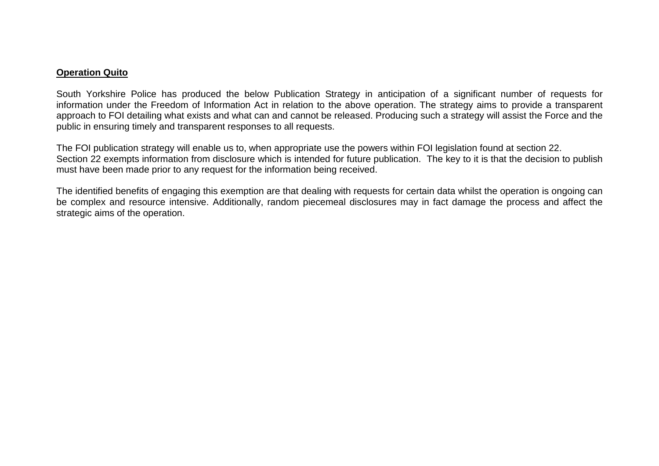## **Operation Quito**

South Yorkshire Police has produced the below Publication Strategy in anticipation of a significant number of requests for information under the Freedom of Information Act in relation to the above operation. The strategy aims to provide a transparent approach to FOI detailing what exists and what can and cannot be released. Producing such a strategy will assist the Force and the public in ensuring timely and transparent responses to all requests.

The FOI publication strategy will enable us to, when appropriate use the powers within FOI legislation found at section 22. Section 22 exempts information from disclosure which is intended for future publication. The key to it is that the decision to publish must have been made prior to any request for the information being received.

The identified benefits of engaging this exemption are that dealing with requests for certain data whilst the operation is ongoing can be complex and resource intensive. Additionally, random piecemeal disclosures may in fact damage the process and affect the strategic aims of the operation.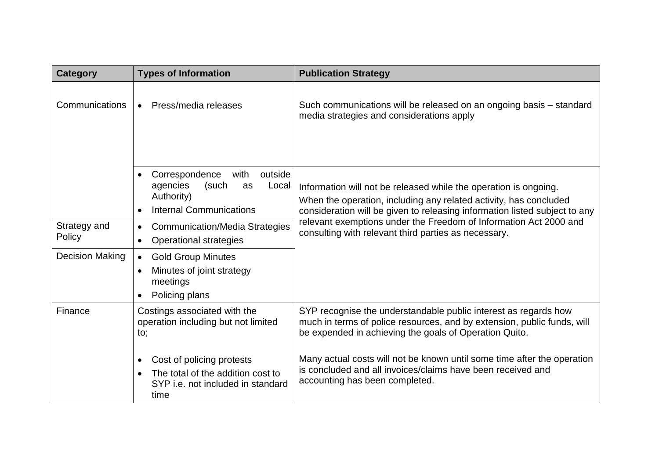| <b>Category</b>        | <b>Types of Information</b>                                                                                           | <b>Publication Strategy</b>                                                                                                                                                                                         |
|------------------------|-----------------------------------------------------------------------------------------------------------------------|---------------------------------------------------------------------------------------------------------------------------------------------------------------------------------------------------------------------|
| Communications         | Press/media releases<br>$\bullet$                                                                                     | Such communications will be released on an ongoing basis – standard<br>media strategies and considerations apply                                                                                                    |
|                        | Correspondence<br>with<br>outside<br>agencies<br>(such<br>Local<br>as<br>Authority)<br><b>Internal Communications</b> | Information will not be released while the operation is ongoing.<br>When the operation, including any related activity, has concluded<br>consideration will be given to releasing information listed subject to any |
| Strategy and<br>Policy | <b>Communication/Media Strategies</b><br><b>Operational strategies</b>                                                | relevant exemptions under the Freedom of Information Act 2000 and<br>consulting with relevant third parties as necessary.                                                                                           |
| <b>Decision Making</b> | <b>Gold Group Minutes</b><br>$\bullet$<br>Minutes of joint strategy<br>meetings<br>Policing plans                     |                                                                                                                                                                                                                     |
| Finance                | Costings associated with the<br>operation including but not limited<br>to;                                            | SYP recognise the understandable public interest as regards how<br>much in terms of police resources, and by extension, public funds, will<br>be expended in achieving the goals of Operation Quito.                |
|                        | Cost of policing protests<br>The total of the addition cost to<br>SYP i.e. not included in standard<br>time           | Many actual costs will not be known until some time after the operation<br>is concluded and all invoices/claims have been received and<br>accounting has been completed.                                            |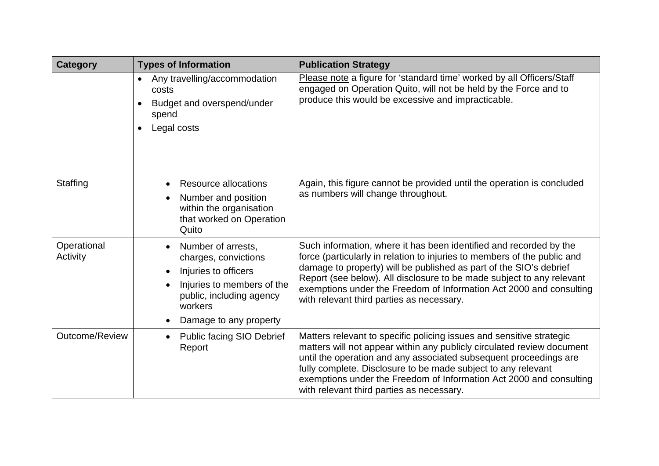| <b>Category</b>         | <b>Types of Information</b>                                                                                                                                       | <b>Publication Strategy</b>                                                                                                                                                                                                                                                                                                                                                                                       |
|-------------------------|-------------------------------------------------------------------------------------------------------------------------------------------------------------------|-------------------------------------------------------------------------------------------------------------------------------------------------------------------------------------------------------------------------------------------------------------------------------------------------------------------------------------------------------------------------------------------------------------------|
|                         | Any travelling/accommodation<br>$\bullet$<br>costs<br>Budget and overspend/under<br>spend<br>Legal costs                                                          | Please note a figure for 'standard time' worked by all Officers/Staff<br>engaged on Operation Quito, will not be held by the Force and to<br>produce this would be excessive and impracticable.                                                                                                                                                                                                                   |
| Staffing                | Resource allocations<br>Number and position<br>within the organisation<br>that worked on Operation<br>Quito                                                       | Again, this figure cannot be provided until the operation is concluded<br>as numbers will change throughout.                                                                                                                                                                                                                                                                                                      |
| Operational<br>Activity | Number of arrests,<br>charges, convictions<br>Injuries to officers<br>Injuries to members of the<br>public, including agency<br>workers<br>Damage to any property | Such information, where it has been identified and recorded by the<br>force (particularly in relation to injuries to members of the public and<br>damage to property) will be published as part of the SIO's debrief<br>Report (see below). All disclosure to be made subject to any relevant<br>exemptions under the Freedom of Information Act 2000 and consulting<br>with relevant third parties as necessary. |
| Outcome/Review          | <b>Public facing SIO Debrief</b><br>Report                                                                                                                        | Matters relevant to specific policing issues and sensitive strategic<br>matters will not appear within any publicly circulated review document<br>until the operation and any associated subsequent proceedings are<br>fully complete. Disclosure to be made subject to any relevant<br>exemptions under the Freedom of Information Act 2000 and consulting<br>with relevant third parties as necessary.          |